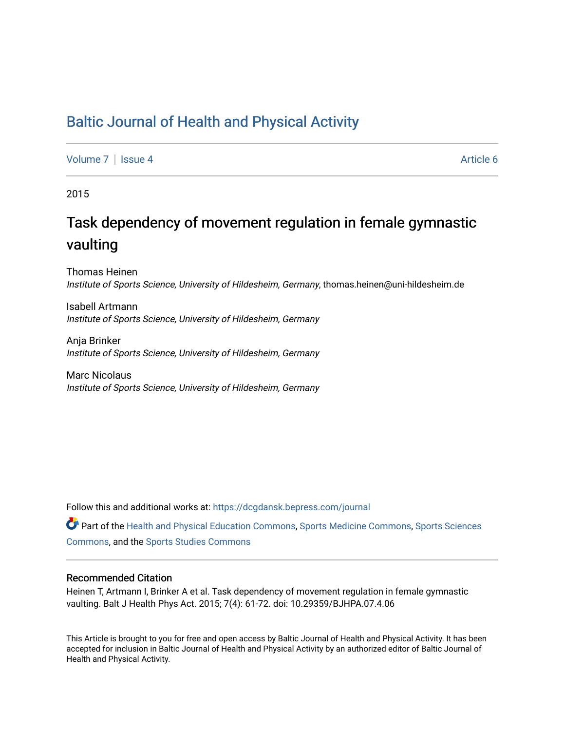## [Baltic Journal of Health and Physical Activity](https://dcgdansk.bepress.com/journal)

[Volume 7](https://dcgdansk.bepress.com/journal/vol7) | [Issue 4](https://dcgdansk.bepress.com/journal/vol7/iss4) Article 6

2015

## Task dependency of movement regulation in female gymnastic vaulting

Thomas Heinen Institute of Sports Science, University of Hildesheim, Germany, thomas.heinen@uni-hildesheim.de

Isabell Artmann Institute of Sports Science, University of Hildesheim, Germany

Anja Brinker Institute of Sports Science, University of Hildesheim, Germany

Marc Nicolaus Institute of Sports Science, University of Hildesheim, Germany

Follow this and additional works at: [https://dcgdansk.bepress.com/journal](https://dcgdansk.bepress.com/journal?utm_source=dcgdansk.bepress.com%2Fjournal%2Fvol7%2Fiss4%2F6&utm_medium=PDF&utm_campaign=PDFCoverPages)

Part of the [Health and Physical Education Commons](http://network.bepress.com/hgg/discipline/1327?utm_source=dcgdansk.bepress.com%2Fjournal%2Fvol7%2Fiss4%2F6&utm_medium=PDF&utm_campaign=PDFCoverPages), [Sports Medicine Commons,](http://network.bepress.com/hgg/discipline/1331?utm_source=dcgdansk.bepress.com%2Fjournal%2Fvol7%2Fiss4%2F6&utm_medium=PDF&utm_campaign=PDFCoverPages) [Sports Sciences](http://network.bepress.com/hgg/discipline/759?utm_source=dcgdansk.bepress.com%2Fjournal%2Fvol7%2Fiss4%2F6&utm_medium=PDF&utm_campaign=PDFCoverPages) [Commons](http://network.bepress.com/hgg/discipline/759?utm_source=dcgdansk.bepress.com%2Fjournal%2Fvol7%2Fiss4%2F6&utm_medium=PDF&utm_campaign=PDFCoverPages), and the [Sports Studies Commons](http://network.bepress.com/hgg/discipline/1198?utm_source=dcgdansk.bepress.com%2Fjournal%2Fvol7%2Fiss4%2F6&utm_medium=PDF&utm_campaign=PDFCoverPages) 

#### Recommended Citation

Heinen T, Artmann I, Brinker A et al. Task dependency of movement regulation in female gymnastic vaulting. Balt J Health Phys Act. 2015; 7(4): 61-72. doi: 10.29359/BJHPA.07.4.06

This Article is brought to you for free and open access by Baltic Journal of Health and Physical Activity. It has been accepted for inclusion in Baltic Journal of Health and Physical Activity by an authorized editor of Baltic Journal of Health and Physical Activity.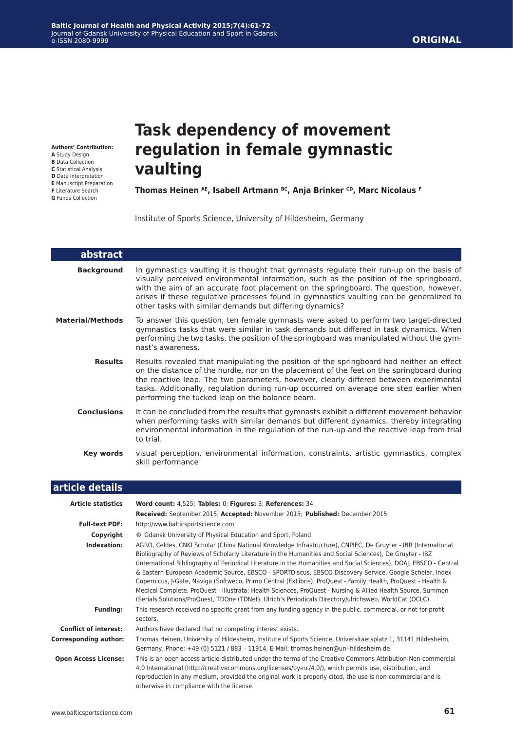#### **Authors' Contribution:**

- **A** Study Design
- **B** Data Collection **C** Statistical Analysis
- **D** Data Interpretation
- **E** Manuscript Preparation
- **F** Literature Search
- **G** Funds Collection

# **Task dependency of movement regulation in female gymnastic vaulting**

Thomas Heinen <sup>AE</sup>, Isabell Artmann <sup>BC</sup>, Anja Brinker CD, Marc Nicolaus F

Institute of Sports Science, University of Hildesheim, Germany

| abstract                |                                                                                                                                                                                                                                                                                                                                                                                                                                    |
|-------------------------|------------------------------------------------------------------------------------------------------------------------------------------------------------------------------------------------------------------------------------------------------------------------------------------------------------------------------------------------------------------------------------------------------------------------------------|
| <b>Background</b>       | In gymnastics vaulting it is thought that gymnasts regulate their run-up on the basis of<br>visually perceived environmental information, such as the position of the springboard,<br>with the aim of an accurate foot placement on the springboard. The question, however,<br>arises if these regulative processes found in gymnastics vaulting can be generalized to<br>other tasks with similar demands but differing dynamics? |
| <b>Material/Methods</b> | To answer this question, ten female gymnasts were asked to perform two target-directed<br>gymnastics tasks that were similar in task demands but differed in task dynamics. When<br>performing the two tasks, the position of the springboard was manipulated without the gym-<br>nast's awareness.                                                                                                                                |
| <b>Results</b>          | Results revealed that manipulating the position of the springboard had neither an effect<br>on the distance of the hurdle, nor on the placement of the feet on the springboard during<br>the reactive leap. The two parameters, however, clearly differed between experimental<br>tasks. Additionally, regulation during run-up occurred on average one step earlier when<br>performing the tucked leap on the balance beam.       |
| <b>Conclusions</b>      | It can be concluded from the results that gymnasts exhibit a different movement behavior<br>when performing tasks with similar demands but different dynamics, thereby integrating<br>environmental information in the regulation of the run-up and the reactive leap from trial<br>to trial.                                                                                                                                      |
| Key words               | visual perception, environmental information, constraints, artistic gymnastics, complex<br>skill performance                                                                                                                                                                                                                                                                                                                       |
| article details         |                                                                                                                                                                                                                                                                                                                                                                                                                                    |

| <b>Article statistics</b>    | Word count: 4,525; Tables: 0; Figures: 3; References: 34                                                                                                                                                                                                                                                                                                                                                                                                                                                                                                                                                                                                                                                                                                                                             |
|------------------------------|------------------------------------------------------------------------------------------------------------------------------------------------------------------------------------------------------------------------------------------------------------------------------------------------------------------------------------------------------------------------------------------------------------------------------------------------------------------------------------------------------------------------------------------------------------------------------------------------------------------------------------------------------------------------------------------------------------------------------------------------------------------------------------------------------|
|                              | Received: September 2015; Accepted: November 2015; Published: December 2015                                                                                                                                                                                                                                                                                                                                                                                                                                                                                                                                                                                                                                                                                                                          |
| <b>Full-text PDF:</b>        | http://www.balticsportscience.com                                                                                                                                                                                                                                                                                                                                                                                                                                                                                                                                                                                                                                                                                                                                                                    |
| Copyright                    | © Gdansk University of Physical Education and Sport, Poland                                                                                                                                                                                                                                                                                                                                                                                                                                                                                                                                                                                                                                                                                                                                          |
| Indexation:                  | AGRO, Celdes, CNKI Scholar (China National Knowledge Infrastructure), CNPIEC, De Gruyter - IBR (International<br>Bibliography of Reviews of Scholarly Literature in the Humanities and Social Sciences), De Gruyter - IBZ<br>(International Bibliography of Periodical Literature in the Humanities and Social Sciences), DOAJ, EBSCO - Central<br>& Eastern European Academic Source, EBSCO - SPORTDiscus, EBSCO Discovery Service, Google Scholar, Index<br>Copernicus, J-Gate, Naviga (Softweco, Primo Central (ExLibris), ProQuest - Family Health, ProQuest - Health &<br>Medical Complete, ProQuest - Illustrata: Health Sciences, ProQuest - Nursing & Allied Health Source, Summon<br>(Serials Solutions/ProQuest, TDOne (TDNet), Ulrich's Periodicals Directory/ulrichsweb, WorldCat (OCLC) |
| <b>Funding:</b>              | This research received no specific grant from any funding agency in the public, commercial, or not-for-profit<br>sectors.                                                                                                                                                                                                                                                                                                                                                                                                                                                                                                                                                                                                                                                                            |
| <b>Conflict of interest:</b> | Authors have declared that no competing interest exists.                                                                                                                                                                                                                                                                                                                                                                                                                                                                                                                                                                                                                                                                                                                                             |
| <b>Corresponding author:</b> | Thomas Heinen, University of Hildesheim, Institute of Sports Science, Universitaetsplatz 1, 31141 Hildesheim,<br>Germany, Phone: +49 (0) 5121 / 883 - 11914, E-Mail: thomas.heinen@uni-hildesheim.de                                                                                                                                                                                                                                                                                                                                                                                                                                                                                                                                                                                                 |
| <b>Open Access License:</b>  | This is an open access article distributed under the terms of the Creative Commons Attribution-Non-commercial<br>4.0 International (http://creativecommons.org/licenses/by-nc/4.0/), which permits use, distribution, and<br>reproduction in any medium, provided the original work is properly cited, the use is non-commercial and is<br>otherwise in compliance with the license.                                                                                                                                                                                                                                                                                                                                                                                                                 |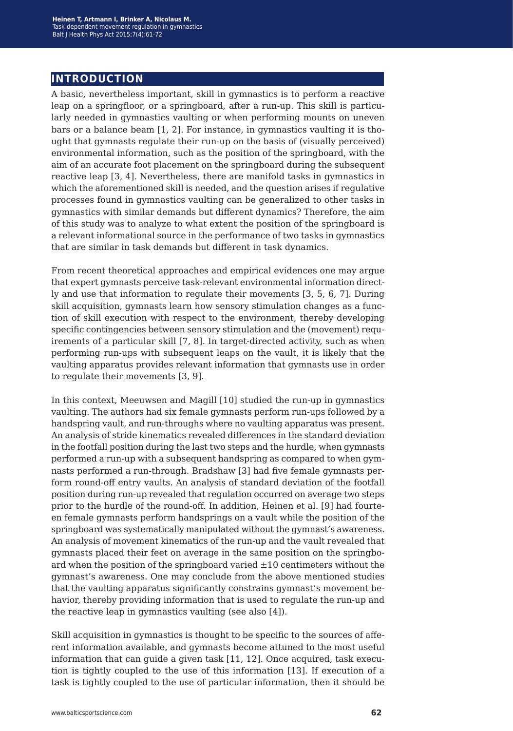## **introduction**

A basic, nevertheless important, skill in gymnastics is to perform a reactive leap on a springfloor, or a springboard, after a run-up. This skill is particularly needed in gymnastics vaulting or when performing mounts on uneven bars or a balance beam [1, 2]. For instance, in gymnastics vaulting it is thought that gymnasts regulate their run-up on the basis of (visually perceived) environmental information, such as the position of the springboard, with the aim of an accurate foot placement on the springboard during the subsequent reactive leap [3, 4]. Nevertheless, there are manifold tasks in gymnastics in which the aforementioned skill is needed, and the question arises if regulative processes found in gymnastics vaulting can be generalized to other tasks in gymnastics with similar demands but different dynamics? Therefore, the aim of this study was to analyze to what extent the position of the springboard is a relevant informational source in the performance of two tasks in gymnastics that are similar in task demands but different in task dynamics.

From recent theoretical approaches and empirical evidences one may argue that expert gymnasts perceive task-relevant environmental information directly and use that information to regulate their movements [3, 5, 6, 7]. During skill acquisition, gymnasts learn how sensory stimulation changes as a function of skill execution with respect to the environment, thereby developing specific contingencies between sensory stimulation and the (movement) requirements of a particular skill [7, 8]. In target-directed activity, such as when performing run-ups with subsequent leaps on the vault, it is likely that the vaulting apparatus provides relevant information that gymnasts use in order to regulate their movements [3, 9].

In this context, Meeuwsen and Magill [10] studied the run-up in gymnastics vaulting. The authors had six female gymnasts perform run-ups followed by a handspring vault, and run-throughs where no vaulting apparatus was present. An analysis of stride kinematics revealed differences in the standard deviation in the footfall position during the last two steps and the hurdle, when gymnasts performed a run-up with a subsequent handspring as compared to when gymnasts performed a run-through. Bradshaw [3] had five female gymnasts perform round-off entry vaults. An analysis of standard deviation of the footfall position during run-up revealed that regulation occurred on average two steps prior to the hurdle of the round-off. In addition, Heinen et al. [9] had fourteen female gymnasts perform handsprings on a vault while the position of the springboard was systematically manipulated without the gymnast's awareness. An analysis of movement kinematics of the run-up and the vault revealed that gymnasts placed their feet on average in the same position on the springboard when the position of the springboard varied  $\pm 10$  centimeters without the gymnast's awareness. One may conclude from the above mentioned studies that the vaulting apparatus significantly constrains gymnast's movement behavior, thereby providing information that is used to regulate the run-up and the reactive leap in gymnastics vaulting (see also [4]).

Skill acquisition in gymnastics is thought to be specific to the sources of afferent information available, and gymnasts become attuned to the most useful information that can guide a given task [11, 12]. Once acquired, task execution is tightly coupled to the use of this information [13]. If execution of a task is tightly coupled to the use of particular information, then it should be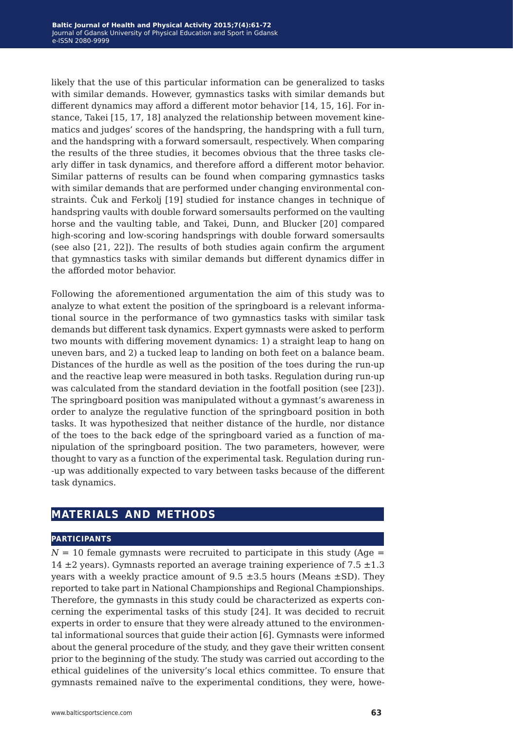likely that the use of this particular information can be generalized to tasks with similar demands. However, gymnastics tasks with similar demands but different dynamics may afford a different motor behavior [14, 15, 16]. For instance, Takei [15, 17, 18] analyzed the relationship between movement kinematics and judges' scores of the handspring, the handspring with a full turn, and the handspring with a forward somersault, respectively. When comparing the results of the three studies, it becomes obvious that the three tasks clearly differ in task dynamics, and therefore afford a different motor behavior. Similar patterns of results can be found when comparing gymnastics tasks with similar demands that are performed under changing environmental constraints. Čuk and Ferkolj [19] studied for instance changes in technique of handspring vaults with double forward somersaults performed on the vaulting horse and the vaulting table, and Takei, Dunn, and Blucker [20] compared high-scoring and low-scoring handsprings with double forward somersaults (see also [21, 22]). The results of both studies again confirm the argument that gymnastics tasks with similar demands but different dynamics differ in the afforded motor behavior.

Following the aforementioned argumentation the aim of this study was to analyze to what extent the position of the springboard is a relevant informational source in the performance of two gymnastics tasks with similar task demands but different task dynamics. Expert gymnasts were asked to perform two mounts with differing movement dynamics: 1) a straight leap to hang on uneven bars, and 2) a tucked leap to landing on both feet on a balance beam. Distances of the hurdle as well as the position of the toes during the run-up and the reactive leap were measured in both tasks. Regulation during run-up was calculated from the standard deviation in the footfall position (see [23]). The springboard position was manipulated without a gymnast's awareness in order to analyze the regulative function of the springboard position in both tasks. It was hypothesized that neither distance of the hurdle, nor distance of the toes to the back edge of the springboard varied as a function of manipulation of the springboard position. The two parameters, however, were thought to vary as a function of the experimental task. Regulation during run- -up was additionally expected to vary between tasks because of the different task dynamics.

## **materials and methods**

#### **participants**

 $N = 10$  female gymnasts were recruited to participate in this study (Age  $=$ 14  $\pm$ 2 years). Gymnasts reported an average training experience of 7.5  $\pm$ 1.3 years with a weekly practice amount of  $9.5 \pm 3.5$  hours (Means  $\pm$ SD). They reported to take part in National Championships and Regional Championships. Therefore, the gymnasts in this study could be characterized as experts concerning the experimental tasks of this study [24]. It was decided to recruit experts in order to ensure that they were already attuned to the environmental informational sources that guide their action [6]. Gymnasts were informed about the general procedure of the study, and they gave their written consent prior to the beginning of the study. The study was carried out according to the ethical guidelines of the university's local ethics committee. To ensure that gymnasts remained naïve to the experimental conditions, they were, howe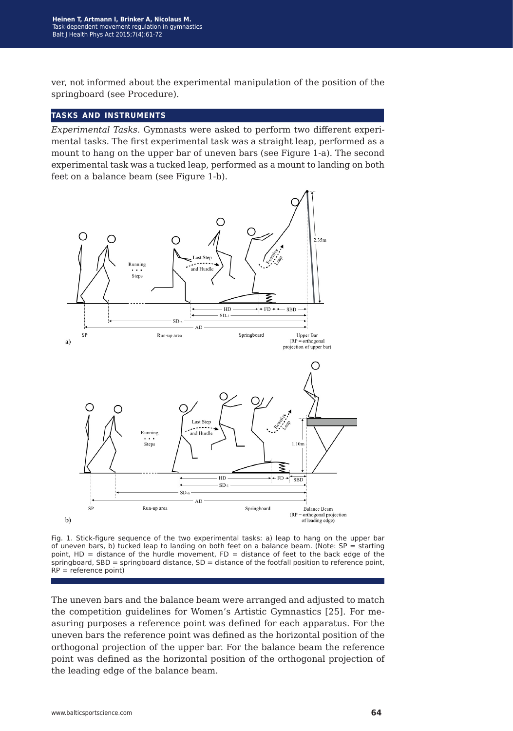ver, not informed about the experimental manipulation of the position of the springboard (see Procedure).

#### **tasks and instruments**

*Experimental Tasks.* Gymnasts were asked to perform two different experimental tasks. The first experimental task was a straight leap, performed as a mount to hang on the upper bar of uneven bars (see Figure 1-a). The second experimental task was a tucked leap, performed as a mount to landing on both feet on a balance beam (see Figure 1-b).



Fig. 1. Stick-figure sequence of the two experimental tasks: a) leap to hang on the upper bar of uneven bars, b) tucked leap to landing on both feet on a balance beam. (Note:  $SP =$  starting point,  $HD = distance of the hundred movement, FD = distance of feet to the back edge of the$ springboard, SBD = springboard distance, SD = distance of the footfall position to reference point, RP = reference point)

The uneven bars and the balance beam were arranged and adjusted to match the competition guidelines for Women's Artistic Gymnastics [25]. For measuring purposes a reference point was defined for each apparatus. For the uneven bars the reference point was defined as the horizontal position of the orthogonal projection of the upper bar. For the balance beam the reference point was defined as the horizontal position of the orthogonal projection of the leading edge of the balance beam.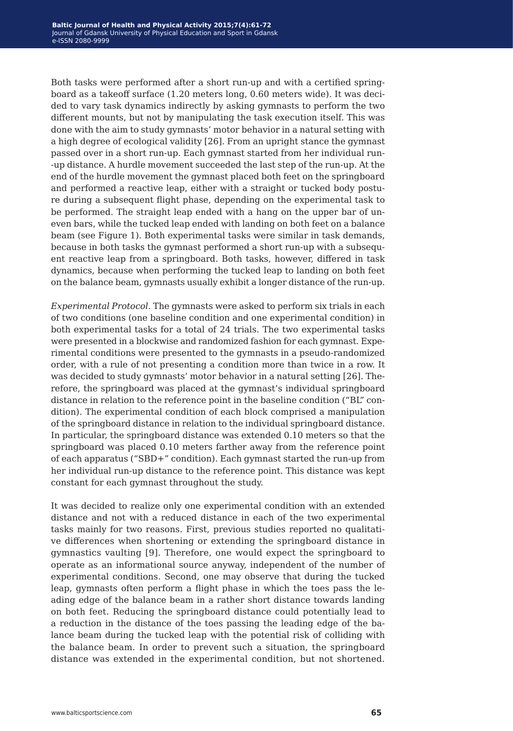Both tasks were performed after a short run-up and with a certified springboard as a takeoff surface (1.20 meters long, 0.60 meters wide). It was decided to vary task dynamics indirectly by asking gymnasts to perform the two different mounts, but not by manipulating the task execution itself. This was done with the aim to study gymnasts' motor behavior in a natural setting with a high degree of ecological validity [26]. From an upright stance the gymnast passed over in a short run-up. Each gymnast started from her individual run- -up distance. A hurdle movement succeeded the last step of the run-up. At the end of the hurdle movement the gymnast placed both feet on the springboard and performed a reactive leap, either with a straight or tucked body posture during a subsequent flight phase, depending on the experimental task to be performed. The straight leap ended with a hang on the upper bar of uneven bars, while the tucked leap ended with landing on both feet on a balance beam (see Figure 1). Both experimental tasks were similar in task demands, because in both tasks the gymnast performed a short run-up with a subsequent reactive leap from a springboard. Both tasks, however, differed in task dynamics, because when performing the tucked leap to landing on both feet on the balance beam, gymnasts usually exhibit a longer distance of the run-up.

*Experimental Protocol.* The gymnasts were asked to perform six trials in each of two conditions (one baseline condition and one experimental condition) in both experimental tasks for a total of 24 trials. The two experimental tasks were presented in a blockwise and randomized fashion for each gymnast. Experimental conditions were presented to the gymnasts in a pseudo-randomized order, with a rule of not presenting a condition more than twice in a row. It was decided to study gymnasts' motor behavior in a natural setting [26]. Therefore, the springboard was placed at the gymnast's individual springboard distance in relation to the reference point in the baseline condition ("BL" condition). The experimental condition of each block comprised a manipulation of the springboard distance in relation to the individual springboard distance. In particular, the springboard distance was extended 0.10 meters so that the springboard was placed 0.10 meters farther away from the reference point of each apparatus ("SBD+" condition). Each gymnast started the run-up from her individual run-up distance to the reference point. This distance was kept constant for each gymnast throughout the study.

It was decided to realize only one experimental condition with an extended distance and not with a reduced distance in each of the two experimental tasks mainly for two reasons. First, previous studies reported no qualitative differences when shortening or extending the springboard distance in gymnastics vaulting [9]. Therefore, one would expect the springboard to operate as an informational source anyway, independent of the number of experimental conditions. Second, one may observe that during the tucked leap, gymnasts often perform a flight phase in which the toes pass the leading edge of the balance beam in a rather short distance towards landing on both feet. Reducing the springboard distance could potentially lead to a reduction in the distance of the toes passing the leading edge of the balance beam during the tucked leap with the potential risk of colliding with the balance beam. In order to prevent such a situation, the springboard distance was extended in the experimental condition, but not shortened.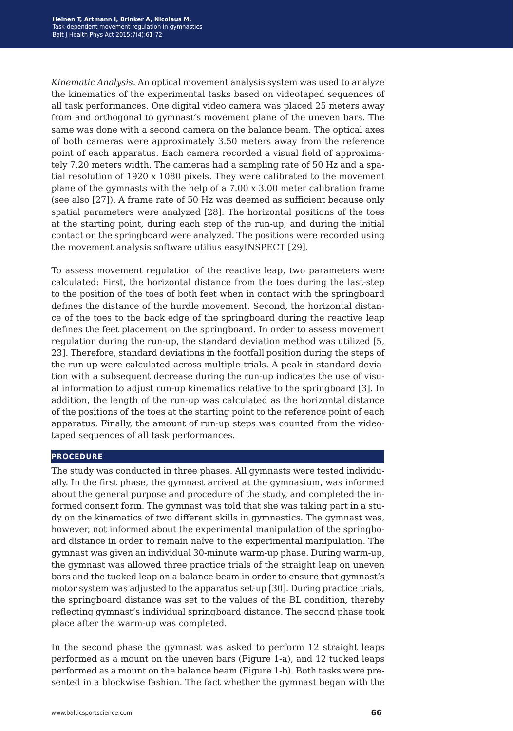*Kinematic Analysis.* An optical movement analysis system was used to analyze the kinematics of the experimental tasks based on videotaped sequences of all task performances. One digital video camera was placed 25 meters away from and orthogonal to gymnast's movement plane of the uneven bars. The same was done with a second camera on the balance beam. The optical axes of both cameras were approximately 3.50 meters away from the reference point of each apparatus. Each camera recorded a visual field of approximately 7.20 meters width. The cameras had a sampling rate of 50 Hz and a spatial resolution of 1920 x 1080 pixels. They were calibrated to the movement plane of the gymnasts with the help of a 7.00 x 3.00 meter calibration frame (see also [27]). A frame rate of 50 Hz was deemed as sufficient because only spatial parameters were analyzed [28]. The horizontal positions of the toes at the starting point, during each step of the run-up, and during the initial contact on the springboard were analyzed. The positions were recorded using the movement analysis software utilius easyINSPECT [29].

To assess movement regulation of the reactive leap, two parameters were calculated: First, the horizontal distance from the toes during the last-step to the position of the toes of both feet when in contact with the springboard defines the distance of the hurdle movement. Second, the horizontal distance of the toes to the back edge of the springboard during the reactive leap defines the feet placement on the springboard. In order to assess movement regulation during the run-up, the standard deviation method was utilized [5, 23]. Therefore, standard deviations in the footfall position during the steps of the run-up were calculated across multiple trials. A peak in standard deviation with a subsequent decrease during the run-up indicates the use of visual information to adjust run-up kinematics relative to the springboard [3]. In addition, the length of the run-up was calculated as the horizontal distance of the positions of the toes at the starting point to the reference point of each apparatus. Finally, the amount of run-up steps was counted from the videotaped sequences of all task performances.

#### **procedure**

The study was conducted in three phases. All gymnasts were tested individually. In the first phase, the gymnast arrived at the gymnasium, was informed about the general purpose and procedure of the study, and completed the informed consent form. The gymnast was told that she was taking part in a study on the kinematics of two different skills in gymnastics. The gymnast was, however, not informed about the experimental manipulation of the springboard distance in order to remain naïve to the experimental manipulation. The gymnast was given an individual 30-minute warm-up phase. During warm-up, the gymnast was allowed three practice trials of the straight leap on uneven bars and the tucked leap on a balance beam in order to ensure that gymnast's motor system was adjusted to the apparatus set-up [30]. During practice trials, the springboard distance was set to the values of the BL condition, thereby reflecting gymnast's individual springboard distance. The second phase took place after the warm-up was completed.

In the second phase the gymnast was asked to perform 12 straight leaps performed as a mount on the uneven bars (Figure 1-a), and 12 tucked leaps performed as a mount on the balance beam (Figure 1-b). Both tasks were presented in a blockwise fashion. The fact whether the gymnast began with the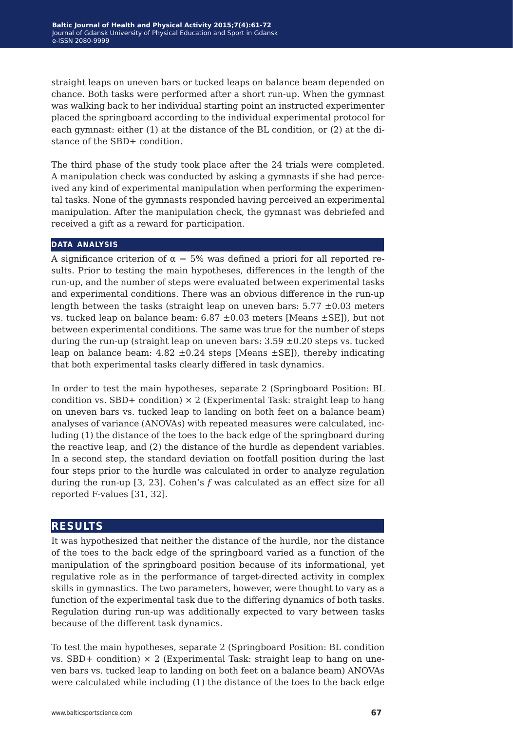straight leaps on uneven bars or tucked leaps on balance beam depended on chance. Both tasks were performed after a short run-up. When the gymnast was walking back to her individual starting point an instructed experimenter placed the springboard according to the individual experimental protocol for each gymnast: either (1) at the distance of the BL condition, or (2) at the distance of the SBD+ condition.

The third phase of the study took place after the 24 trials were completed. A manipulation check was conducted by asking a gymnasts if she had perceived any kind of experimental manipulation when performing the experimental tasks. None of the gymnasts responded having perceived an experimental manipulation. After the manipulation check, the gymnast was debriefed and received a gift as a reward for participation.

#### **data analysis**

A significance criterion of  $\alpha = 5\%$  was defined a priori for all reported results. Prior to testing the main hypotheses, differences in the length of the run-up, and the number of steps were evaluated between experimental tasks and experimental conditions. There was an obvious difference in the run-up length between the tasks (straight leap on uneven bars:  $5.77 \pm 0.03$  meters vs. tucked leap on balance beam:  $6.87 \pm 0.03$  meters [Means  $\pm$ SE]), but not between experimental conditions. The same was true for the number of steps during the run-up (straight leap on uneven bars:  $3.59 \pm 0.20$  steps vs. tucked leap on balance beam:  $4.82 \pm 0.24$  steps [Means  $\pm$ SE]), thereby indicating that both experimental tasks clearly differed in task dynamics.

In order to test the main hypotheses, separate 2 (Springboard Position: BL condition vs. SBD+ condition)  $\times$  2 (Experimental Task: straight leap to hang on uneven bars vs. tucked leap to landing on both feet on a balance beam) analyses of variance (ANOVAs) with repeated measures were calculated, including (1) the distance of the toes to the back edge of the springboard during the reactive leap, and (2) the distance of the hurdle as dependent variables. In a second step, the standard deviation on footfall position during the last four steps prior to the hurdle was calculated in order to analyze regulation during the run-up [3, 23]. Cohen's *f* was calculated as an effect size for all reported F-values [31, 32].

### **results**

It was hypothesized that neither the distance of the hurdle, nor the distance of the toes to the back edge of the springboard varied as a function of the manipulation of the springboard position because of its informational, yet regulative role as in the performance of target-directed activity in complex skills in gymnastics. The two parameters, however, were thought to vary as a function of the experimental task due to the differing dynamics of both tasks. Regulation during run-up was additionally expected to vary between tasks because of the different task dynamics.

To test the main hypotheses, separate 2 (Springboard Position: BL condition vs. SBD+ condition)  $\times$  2 (Experimental Task: straight leap to hang on uneven bars vs. tucked leap to landing on both feet on a balance beam) ANOVAs were calculated while including (1) the distance of the toes to the back edge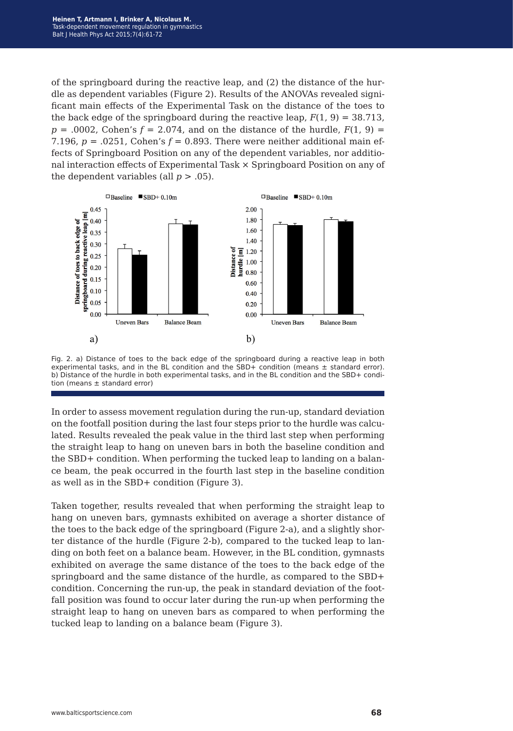of the springboard during the reactive leap, and (2) the distance of the hurdle as dependent variables (Figure 2). Results of the ANOVAs revealed significant main effects of the Experimental Task on the distance of the toes to the back edge of the springboard during the reactive leap,  $F(1, 9) = 38.713$ ,  $p = .0002$ , Cohen's  $f = 2.074$ , and on the distance of the hurdle,  $F(1, 9) =$ 7.196,  $p = 0.0251$ , Cohen's  $f = 0.893$ . There were neither additional main effects of Springboard Position on any of the dependent variables, nor additional interaction effects of Experimental Task × Springboard Position on any of the dependent variables (all  $p > .05$ ).



Fig. 2. a) Distance of toes to the back edge of the springboard during a reactive leap in both experimental tasks, and in the BL condition and the SBD+ condition (means  $\pm$  standard error). b) Distance of the hurdle in both experimental tasks, and in the BL condition and the SBD+ condition (means  $\pm$  standard error)

In order to assess movement regulation during the run-up, standard deviation on the footfall position during the last four steps prior to the hurdle was calculated. Results revealed the peak value in the third last step when performing the straight leap to hang on uneven bars in both the baseline condition and the SBD+ condition. When performing the tucked leap to landing on a balance beam, the peak occurred in the fourth last step in the baseline condition as well as in the SBD+ condition (Figure 3).

Taken together, results revealed that when performing the straight leap to hang on uneven bars, gymnasts exhibited on average a shorter distance of the toes to the back edge of the springboard (Figure 2-a), and a slightly shorter distance of the hurdle (Figure 2-b), compared to the tucked leap to landing on both feet on a balance beam. However, in the BL condition, gymnasts exhibited on average the same distance of the toes to the back edge of the springboard and the same distance of the hurdle, as compared to the SBD+ condition. Concerning the run-up, the peak in standard deviation of the footfall position was found to occur later during the run-up when performing the straight leap to hang on uneven bars as compared to when performing the tucked leap to landing on a balance beam (Figure 3).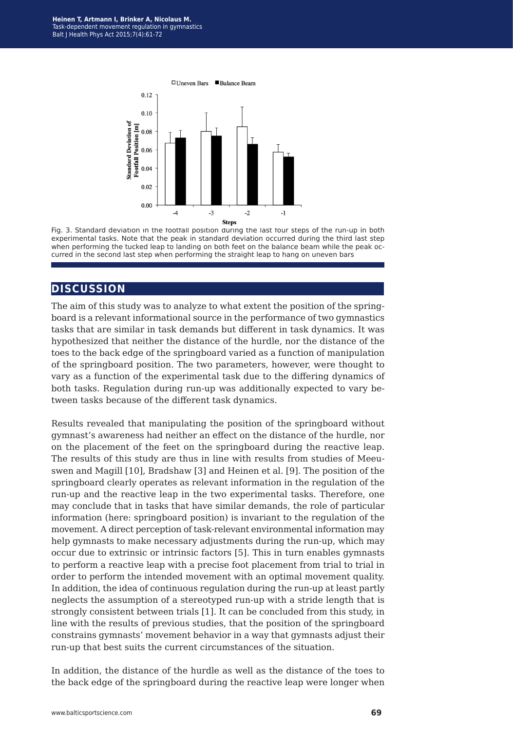

Fig. 3. Standard deviation in the footfall position during the last four steps of the run-up in both experimental tasks. Note that the peak in standard deviation occurred during the third last step when performing the tucked leap to landing on both feet on the balance beam while the peak occurred in the second last step when performing the straight leap to hang on uneven bars

## **discussion**

The aim of this study was to analyze to what extent the position of the springboard is a relevant informational source in the performance of two gymnastics tasks that are similar in task demands but different in task dynamics. It was hypothesized that neither the distance of the hurdle, nor the distance of the toes to the back edge of the springboard varied as a function of manipulation of the springboard position. The two parameters, however, were thought to vary as a function of the experimental task due to the differing dynamics of both tasks. Regulation during run-up was additionally expected to vary between tasks because of the different task dynamics.

Results revealed that manipulating the position of the springboard without gymnast's awareness had neither an effect on the distance of the hurdle, nor on the placement of the feet on the springboard during the reactive leap. The results of this study are thus in line with results from studies of Meeuswen and Magill [10], Bradshaw [3] and Heinen et al. [9]. The position of the springboard clearly operates as relevant information in the regulation of the run-up and the reactive leap in the two experimental tasks. Therefore, one may conclude that in tasks that have similar demands, the role of particular information (here: springboard position) is invariant to the regulation of the movement. A direct perception of task-relevant environmental information may help gymnasts to make necessary adjustments during the run-up, which may occur due to extrinsic or intrinsic factors [5]. This in turn enables gymnasts to perform a reactive leap with a precise foot placement from trial to trial in order to perform the intended movement with an optimal movement quality. In addition, the idea of continuous regulation during the run-up at least partly neglects the assumption of a stereotyped run-up with a stride length that is strongly consistent between trials [1]. It can be concluded from this study, in line with the results of previous studies, that the position of the springboard constrains gymnasts' movement behavior in a way that gymnasts adjust their run-up that best suits the current circumstances of the situation.

In addition, the distance of the hurdle as well as the distance of the toes to the back edge of the springboard during the reactive leap were longer when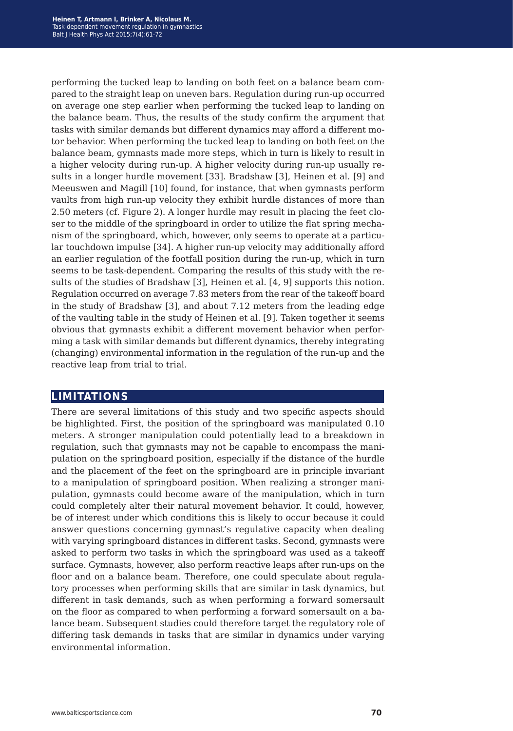performing the tucked leap to landing on both feet on a balance beam compared to the straight leap on uneven bars. Regulation during run-up occurred on average one step earlier when performing the tucked leap to landing on the balance beam. Thus, the results of the study confirm the argument that tasks with similar demands but different dynamics may afford a different motor behavior. When performing the tucked leap to landing on both feet on the balance beam, gymnasts made more steps, which in turn is likely to result in a higher velocity during run-up. A higher velocity during run-up usually results in a longer hurdle movement [33]. Bradshaw [3], Heinen et al. [9] and Meeuswen and Magill [10] found, for instance, that when gymnasts perform vaults from high run-up velocity they exhibit hurdle distances of more than 2.50 meters (cf. Figure 2). A longer hurdle may result in placing the feet closer to the middle of the springboard in order to utilize the flat spring mechanism of the springboard, which, however, only seems to operate at a particular touchdown impulse [34]. A higher run-up velocity may additionally afford an earlier regulation of the footfall position during the run-up, which in turn seems to be task-dependent. Comparing the results of this study with the results of the studies of Bradshaw [3], Heinen et al. [4, 9] supports this notion. Regulation occurred on average 7.83 meters from the rear of the takeoff board in the study of Bradshaw [3], and about 7.12 meters from the leading edge of the vaulting table in the study of Heinen et al. [9]. Taken together it seems obvious that gymnasts exhibit a different movement behavior when performing a task with similar demands but different dynamics, thereby integrating (changing) environmental information in the regulation of the run-up and the reactive leap from trial to trial.

### **limitations**

There are several limitations of this study and two specific aspects should be highlighted. First, the position of the springboard was manipulated 0.10 meters. A stronger manipulation could potentially lead to a breakdown in regulation, such that gymnasts may not be capable to encompass the manipulation on the springboard position, especially if the distance of the hurdle and the placement of the feet on the springboard are in principle invariant to a manipulation of springboard position. When realizing a stronger manipulation, gymnasts could become aware of the manipulation, which in turn could completely alter their natural movement behavior. It could, however, be of interest under which conditions this is likely to occur because it could answer questions concerning gymnast's regulative capacity when dealing with varying springboard distances in different tasks. Second, gymnasts were asked to perform two tasks in which the springboard was used as a takeoff surface. Gymnasts, however, also perform reactive leaps after run-ups on the floor and on a balance beam. Therefore, one could speculate about regulatory processes when performing skills that are similar in task dynamics, but different in task demands, such as when performing a forward somersault on the floor as compared to when performing a forward somersault on a balance beam. Subsequent studies could therefore target the regulatory role of differing task demands in tasks that are similar in dynamics under varying environmental information.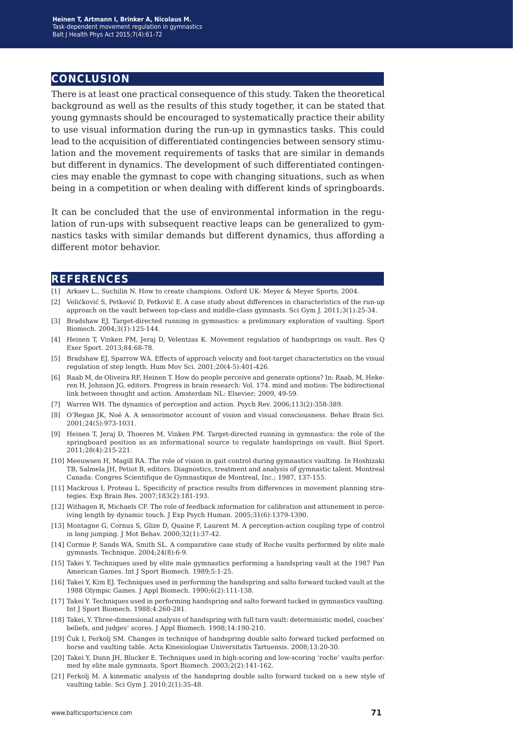## **conclusion**

There is at least one practical consequence of this study. Taken the theoretical background as well as the results of this study together, it can be stated that young gymnasts should be encouraged to systematically practice their ability to use visual information during the run-up in gymnastics tasks. This could lead to the acquisition of differentiated contingencies between sensory stimulation and the movement requirements of tasks that are similar in demands but different in dynamics. The development of such differentiated contingencies may enable the gymnast to cope with changing situations, such as when being in a competition or when dealing with different kinds of springboards.

It can be concluded that the use of environmental information in the regulation of run-ups with subsequent reactive leaps can be generalized to gymnastics tasks with similar demands but different dynamics, thus affording a different motor behavior.

#### **references**

- [1] Arkaev L., Suchilin N. How to create champions. Oxford UK: Meyer & Meyer Sports; 2004.
- [2] Velićković́ S, Petković́ D, Petković E. A case study about differences in characteristics of the run-up approach on the vault between top-class and middle-class gymnasts. Sci Gym J. 2011;3(1):25-34.
- [3] Bradshaw EJ. Target-directed running in gymnastics: a preliminary exploration of vaulting. Sport Biomech. 2004;3(1):125-144.
- [4] Heinen T, Vinken PM, Jeraj D, Velentzas K. Movement regulation of handsprings on vault. Res Q Exer Sport. 2013;84:68-78.
- [5] Bradshaw EJ, Sparrow WA. Effects of approach velocity and foot-target characteristics on the visual regulation of step length. Hum Mov Sci. 2001;20(4-5):401-426.
- [6] Raab M, de Oliveira RF, Heinen T. How do people perceive and generate options? In: Raab, M, Hekeren H, Johnson JG, editors. Progress in brain research: Vol. 174. mind and motion: The bidirectional link between thought and action. Amsterdam NL: Elsevier; 2009, 49-59.
- [7] Warren WH. The dynamics of perception and action. Psych Rev. 2006;113(2):358-389.
- [8] O'Regan JK, Noë A. A sensorimotor account of vision and visual consciousness. Behav Brain Sci. 2001;24(5):973-1031.
- [9] Heinen T, Jeraj D, Thoeren M, Vinken PM. Target-directed running in gymnastics: the role of the springboard position as an informational source to regulate handsprings on vault. Biol Sport. 2011;28(4):215-221.
- [10] Meeuwsen H, Magill RA. The role of vision in gait control during gymnastics vaulting. In Hoshizaki TB, Salmela JH, Petiot B, editors. Diagnostics, treatment and analysis of gymnastic talent. Montreal Canada: Congres Scientifique de Gymnastique de Montreal, Inc.; 1987, 137-155.
- [11] Mackrous I, Proteau L. Specificity of practice results from differences in movement planning strategies. Exp Brain Res. 2007;183(2):181-193.
- [12] Withagen R, Michaels CF. The role of feedback information for calibration and attunement in perceiving length by dynamic touch. J Exp Psych Human. 2005;31(6):1379-1390.
- [13] Montagne G, Cornus S, Glize D, Quaine F, Laurent M. A perception-action coupling type of control in long jumping. J Mot Behav. 2000;32(1):37-42.
- [14] Cormie P, Sands WA, Smith SL. A comparative case study of Roche vaults performed by elite male gymnasts. Technique. 2004;24(8):6-9.
- [15] Takei Y. Techniques used by elite male gymnastics performing a handspring vault at the 1987 Pan American Games. Int J Sport Biomech. 1989;5:1-25.
- [16] Takei Y, Kim EJ. Techniques used in performing the handspring and salto forward tucked vault at the 1988 Olympic Games. J Appl Biomech. 1990;6(2):111-138.
- [17] Takei Y. Techniques used in performing handspring and salto forward tucked in gymnastics vaulting. Int J Sport Biomech. 1988;4:260-281.
- [18] Takei, Y. Three-dimensional analysis of handspring with full turn vault: deterministic model, coaches' beliefs, and judges' scores. J Appl Biomech. 1998;14:190-210.
- [19] Čuk I, Ferkolj SM. Changes in technique of handspring double salto forward tucked performed on horse and vaulting table. Acta Kinesiologiae Universitatis Tartuensis. 2008;13:20-30.
- [20] Takei Y, Dunn JH, Blucker E. Techniques used in high-scoring and low-scoring 'roche' vaults performed by elite male gymnasts. Sport Biomech. 2003;2(2):141-162.
- [21] Ferkolj M. A kinematic analysis of the handspring double salto forward tucked on a new style of vaulting table. Sci Gym J. 2010;2(1):35-48.